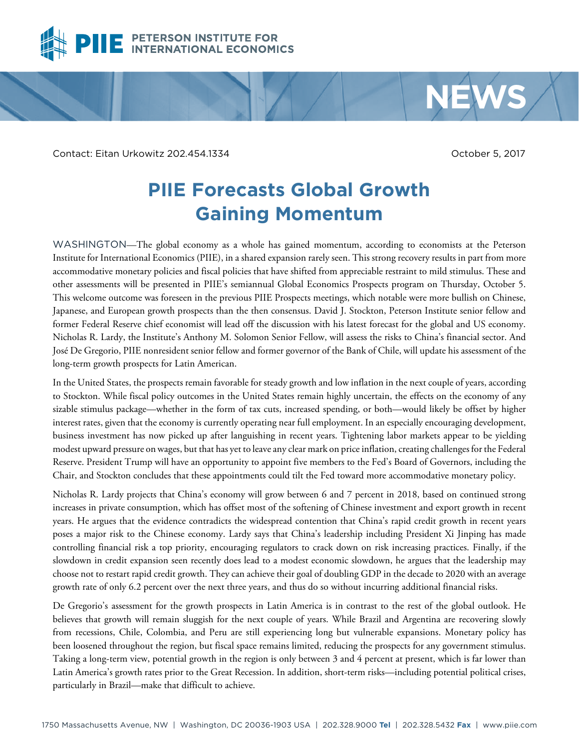

Contact: Eitan Urkowitz 202.454.1334 October 5, 2017

**NEWS**

## **PIIE Forecasts Global Growth Gaining Momentum**

WASHINGTON—The global economy as a whole has gained momentum, according to economists at the Peterson Institute for International Economics (PIIE), in a shared expansion rarely seen. This strong recovery results in part from more accommodative monetary policies and fiscal policies that have shifted from appreciable restraint to mild stimulus. These and other assessments will be presented in PIIE's semiannual Global Economics Prospects program on Thursday, October 5. This welcome outcome was foreseen in the previous PIIE Prospects meetings, which notable were more bullish on Chinese, Japanese, and European growth prospects than the then consensus. David J. Stockton, Peterson Institute senior fellow and former Federal Reserve chief economist will lead off the discussion with his latest forecast for the global and US economy. Nicholas R. Lardy, the Institute's Anthony M. Solomon Senior Fellow, will assess the risks to China's financial sector. And José De Gregorio, PIIE nonresident senior fellow and former governor of the Bank of Chile, will update his assessment of the long-term growth prospects for Latin American.

In the United States, the prospects remain favorable for steady growth and low inflation in the next couple of years, according to Stockton. While fiscal policy outcomes in the United States remain highly uncertain, the effects on the economy of any sizable stimulus package—whether in the form of tax cuts, increased spending, or both—would likely be offset by higher interest rates, given that the economy is currently operating near full employment. In an especially encouraging development, business investment has now picked up after languishing in recent years. Tightening labor markets appear to be yielding modest upward pressure on wages, but that has yet to leave any clear mark on price inflation, creating challenges for the Federal Reserve. President Trump will have an opportunity to appoint five members to the Fed's Board of Governors, including the Chair, and Stockton concludes that these appointments could tilt the Fed toward more accommodative monetary policy.

Nicholas R. Lardy projects that China's economy will grow between 6 and 7 percent in 2018, based on continued strong increases in private consumption, which has offset most of the softening of Chinese investment and export growth in recent years. He argues that the evidence contradicts the widespread contention that China's rapid credit growth in recent years poses a major risk to the Chinese economy. Lardy says that China's leadership including President Xi Jinping has made controlling financial risk a top priority, encouraging regulators to crack down on risk increasing practices. Finally, if the slowdown in credit expansion seen recently does lead to a modest economic slowdown, he argues that the leadership may choose not to restart rapid credit growth. They can achieve their goal of doubling GDP in the decade to 2020 with an average growth rate of only 6.2 percent over the next three years, and thus do so without incurring additional financial risks.

De Gregorio's assessment for the growth prospects in Latin America is in contrast to the rest of the global outlook. He believes that growth will remain sluggish for the next couple of years. While Brazil and Argentina are recovering slowly from recessions, Chile, Colombia, and Peru are still experiencing long but vulnerable expansions. Monetary policy has been loosened throughout the region, but fiscal space remains limited, reducing the prospects for any government stimulus. Taking a long-term view, potential growth in the region is only between 3 and 4 percent at present, which is far lower than Latin America's growth rates prior to the Great Recession. In addition, short-term risks—including potential political crises, particularly in Brazil—make that difficult to achieve.